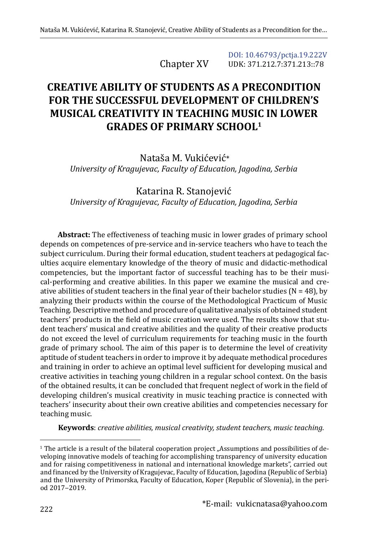Chapter XV

[DOI: 10.46793/pctja.19.222V](https://doi.org/10.46793/pctja.19.222V) UDK: 371.212.7:371.213::78

## **CREATIVE ABILITY OF STUDENTS AS A PRECONDITION FOR THE SUCCESSFUL DEVELOPMENT OF CHILDREN'S MUSICAL CREATIVITY IN TEACHING MUSIC IN LOWER GRADES OF PRIMARY SCHOOL1**

Nataša M. Vukićević\* *University of Kragujevac, Faculty of Education, Jagodina, Serbia*

Katarina R. Stanojević *University of Kragujevac, Faculty of Education, Jagodina, Serbia*

**Abstract:** The effectiveness of teaching music in lower grades of primary school depends on competences of pre-service and in-service teachers who have to teach the subject curriculum. During their formal education, student teachers at pedagogical faculties acquire elementary knowledge of the theory of music and didactic-methodical competencies, but the important factor of successful teaching has to be their musical-performing and creative abilities. In this paper we examine the musical and creative abilities of student teachers in the final year of their bachelor studies ( $N = 48$ ), by analyzing their products within the course of the Methodological Practicum of Music Teaching. Descriptive method and procedure of qualitative analysis of obtained student teachers' products in the field of music creation were used. The results show that student teachers' musical and creative abilities and the quality of their creative products do not exceed the level of curriculum requirements for teaching music in the fourth grade of primary school. The aim of this paper is to determine the level of creativity aptitude of student teachers in order to improve it by adequate methodical procedures and training in order to achieve an optimal level sufficient for developing musical and creative activities in teaching young children in a regular school context. On the basis of the obtained results, it can be concluded that frequent neglect of work in the field of developing children's musical creativity in music teaching practice is connected with teachers' insecurity about their own creative abilities and competencies necessary for teaching music.

**Keywords**: *creative abilities, musical creativity, student teachers, music teaching.*

<sup>&</sup>lt;sup>1</sup> The article is a result of the bilateral cooperation project "Assumptions and possibilities of developing innovative models of teaching for accomplishing transparency of university education and for raising competitiveness in national and international knowledge markets", carried out and financed by the University of Kragujevac, Faculty of Education, Jagodina (Republic of Serbia) and the University of Primorska, Faculty of Education, Koper (Republic of Slovenia), in the period 2017-2019.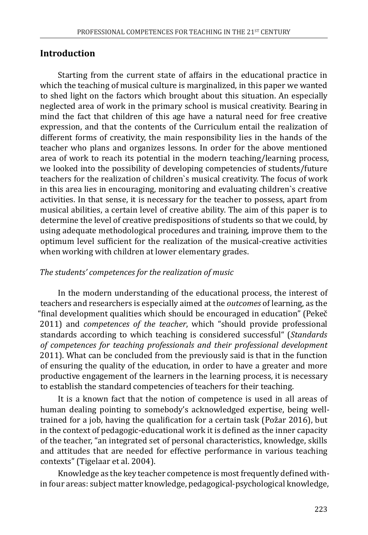## **Introduction**

Starting from the current state of affairs in the educational practice in which the teaching of musical culture is marginalized, in this paper we wanted to shed light on the factors which brought about this situation. An especially neglected area of work in the primary school is musical creativity. Bearing in mind the fact that children of this age have a natural need for free creative expression, and that the contents of the Curriculum entail the realization of different forms of creativity, the main responsibility lies in the hands of the teacher who plans and organizes lessons. In order for the above mentioned area of work to reach its potential in the modern teaching/learning process, we looked into the possibility of developing competencies of students/future teachers for the realization of children`s musical creativity. The focus of work in this area lies in encouraging, monitoring and evaluating children`s creative activities. In that sense, it is necessary for the teacher to possess, apart from musical abilities, a certain level of creative ability. The aim of this paper is to determine the level of creative predispositions of students so that we could, by using adequate methodological procedures and training, improve them to the optimum level sufficient for the realization of the musical-creative activities when working with children at lower elementary grades.

### *The students' competences for the realization of music*

In the modern understanding of the educational process, the interest of teachers and researchers is especially aimed at the *outcomes* of learning, as the "final development qualities which should be encouraged in education" (Pekeč 2011) and *competences of the teacher*, which "should provide professional standards according to which teaching is considered successful" (*Standards of competences for teaching professionals and their professional development* 2011). What can be concluded from the previously said is that in the function of ensuring the quality of the education, in order to have a greater and more productive engagement of the learners in the learning process, it is necessary to establish the standard competencies of teachers for their teaching.

It is a known fact that the notion of competence is used in all areas of human dealing pointing to somebody's acknowledged expertise, being welltrained for a job, having the qualification for a certain task (Požar 2016), but in the context of pedagogic-educational work it is defined as the inner capacity of the teacher, "an integrated set of personal characteristics, knowledge, skills and attitudes that are needed for effective performance in various teaching contexts" (Tigelaar et al. 2004).

Knowledge as the key teacher competence is most frequently defined within four areas: subject matter knowledge, pedagogical-psychological knowledge,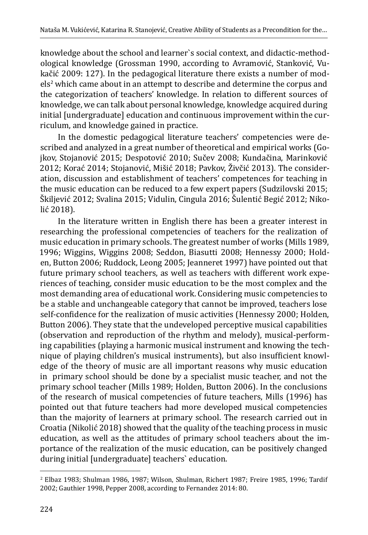knowledge about the school and learner`s social context, and didactic-methodological knowledge (Grossman 1990, according to Avramović, Stanković, Vukačić 2009: 127). In the pedagogical literature there exists a number of models<sup>2</sup> which came about in an attempt to describe and determine the corpus and the categorization of teachers' knowledge. In relation to different sources of knowledge, we can talk about personal knowledge, knowledge acquired during initial [undergraduate] education and continuous improvement within the curriculum, and knowledge gained in practice.

In the domestic pedagogical literature teachers' competencies were described and analyzed in a great number of theoretical and empirical works (Gojkov, Stojanović 2015; Despotović 2010; Sučev 2008; Kundačina, Marinković 2012; Korać 2014; Stojanović, Mišić 2018; Pavkov, Živčić 2013). The consideration, discussion and establishment of teachers' competences for teaching in the music education can be reduced to a few expert papers (Sudzilovski 2015; Škiljević 2012; Svalina 2015; Vidulin, Cingula 2016; Šulentić Begić 2012; Nikolić 2018).

In the literature written in English there has been a greater interest in researching the professional competencies of teachers for the realization of music education in primary schools. The greatest number of works (Mills 1989, 1996; Wiggins, Wiggins 2008; Seddon, Biasutti 2008; Hennessy 2000; Holden, Button 2006; Ruddock, Leong 2005; Jeanneret 1997) have pointed out that future primary school teachers, as well as teachers with different work experiences of teaching, consider music education to be the most complex and the most demanding area of educational work. Considering music competencies to be a stable and unchangeable category that cannot be improved, teachers lose self-confidence for the realization of music activities (Hennessy 2000; Holden, Button 2006). They state that the undeveloped perceptive musical capabilities (observation and reproduction of the rhythm and melody), musical-performing capabilities (playing a harmonic musical instrument and knowing the technique of playing children's musical instruments), but also insufficient knowledge of the theory of music are all important reasons why music education in primary school should be done by a specialist music teacher, and not the primary school teacher (Mills 1989; Holden, Button 2006). In the conclusions of the research of musical competencies of future teachers, Mills (1996) has pointed out that future teachers had more developed musical competencies than the majority of learners at primary school. The research carried out in Croatia (Nikolić 2018) showed that the quality of the teaching process in music education, as well as the attitudes of primary school teachers about the importance of the realization of the music education, can be positively changed during initial [undergraduate] teachers` education.

<sup>2</sup> Elbaz 1983; Shulman 1986, 1987; Wilson, Shulman, Richert 1987; Freire 1985, 1996; Tardif 2002; Gauthier 1998, Pepper 2008, according to Fernandez 2014: 80.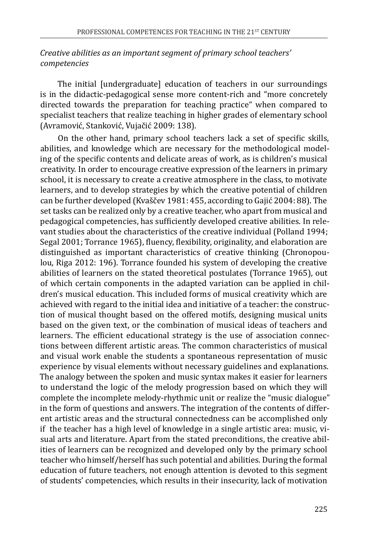### *Creative abilities as an important segment of primary school teachers' competencies*

The initial [undergraduate] education of teachers in our surroundings is in the didactic-pedagogical sense more content-rich and "more concretely directed towards the preparation for teaching practice" when compared to specialist teachers that realize teaching in higher grades of elementary school (Avramović, Stanković, Vujačić 2009: 138).

On the other hand, primary school teachers lack a set of specific skills, abilities, and knowledge which are necessary for the methodological modeling of the specific contents and delicate areas of work, as is children's musical creativity. In order to encourage creative expression of the learners in primary school, it is necessary to create a creative atmosphere in the class, to motivate learners, and to develop strategies by which the creative potential of children can be further developed (Kvaščev 1981: 455, according to Gajić 2004: 88). The set tasks can be realized only by a creative teacher, who apart from musical and pedagogical competencies, has sufficiently developed creative abilities. In relevant studies about the characteristics of the creative individual (Polland 1994; Segal 2001; Torrance 1965), fluency, flexibility, originality, and elaboration are distinguished as important characteristics of creative thinking (Chronopoulou, Riga 2012: 196). Torrance founded his system of developing the creative abilities of learners on the stated theoretical postulates (Torrance 1965), out of which certain components in the adapted variation can be applied in children's musical education. This included forms of musical creativity which are achieved with regard to the initial idea and initiative of a teacher: the construction of musical thought based on the offered motifs, designing musical units based on the given text, or the combination of musical ideas of teachers and learners. The efficient educational strategy is the use of association connections between different artistic areas. The common characteristics of musical and visual work enable the students a spontaneous representation of music experience by visual elements without necessary guidelines and explanations. The analogy between the spoken and music syntax makes it easier for learners to understand the logic of the melody progression based on which they will complete the incomplete melody-rhythmic unit or realize the "music dialogue" in the form of questions and answers. The integration of the contents of different artistic areas and the structural connectedness can be accomplished only if the teacher has a high level of knowledge in a single artistic area: music, visual arts and literature. Apart from the stated preconditions, the creative abilities of learners can be recognized and developed only by the primary school teacher who himself/herself has such potential and abilities. During the formal education of future teachers, not enough attention is devoted to this segment of students' competencies, which results in their insecurity, lack of motivation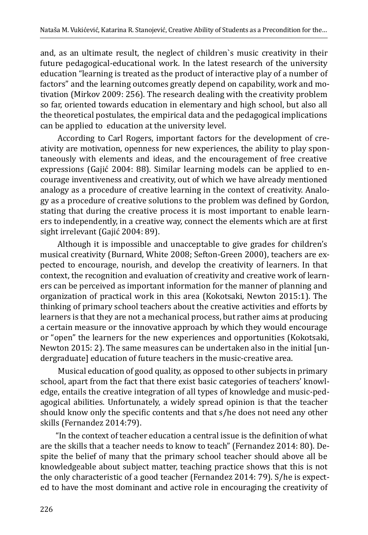and, as an ultimate result, the neglect of children`s music creativity in their future pedagogical-educational work. In the latest research of the university education "learning is treated as the product of interactive play of a number of factors" and the learning outcomes greatly depend on capability, work and motivation (Mirkov 2009: 256). The research dealing with the creativity problem so far, oriented towards education in elementary and high school, but also all the theoretical postulates, the empirical data and the pedagogical implications can be applied to education at the university level.

According to Carl Rogers, important factors for the development of creativity are motivation, openness for new experiences, the ability to play spontaneously with elements and ideas, and the encouragement of free creative expressions (Gajić 2004: 88). Similar learning models can be applied to encourage inventiveness and creativity, out of which we have already mentioned analogy as a procedure of creative learning in the context of creativity. Analogy as a procedure of creative solutions to the problem was defined by Gordon, stating that during the creative process it is most important to enable learners to independently, in a creative way, connect the elements which are at first sight irrelevant (Gajić 2004: 89).

Although it is impossible and unacceptable to give grades for children's musical creativity (Burnard, White 2008; Sefton-Green 2000), teachers are expected to encourage, nourish, and develop the creativity of learners. In that context, the recognition and evaluation of creativity and creative work of learners can be perceived as important information for the manner of planning and organization of practical work in this area (Kokotsaki, Newton 2015:1). The thinking of primary school teachers about the creative activities and efforts by learners is that they are not a mechanical process, but rather aims at producing a certain measure or the innovative approach by which they would encourage or "open" the learners for the new experiences and opportunities (Kokotsaki, Newton 2015: 2). The same measures can be undertaken also in the initial [undergraduate] education of future teachers in the music-creative area.

Musical education of good quality, as opposed to other subjects in primary school, apart from the fact that there exist basic categories of teachers' knowledge, entails the creative integration of all types of knowledge and music-pedagogical abilities. Unfortunately, a widely spread opinion is that the teacher should know only the specific contents and that s/he does not need any other skills (Fernandez 2014:79).

"In the context of teacher education a central issue is the definition of what are the skills that a teacher needs to know to teach" (Fernandez 2014: 80). Despite the belief of many that the primary school teacher should above all be knowledgeable about subject matter, teaching practice shows that this is not the only characteristic of a good teacher (Fernandez 2014: 79). S/he is expected to have the most dominant and active role in encouraging the creativity of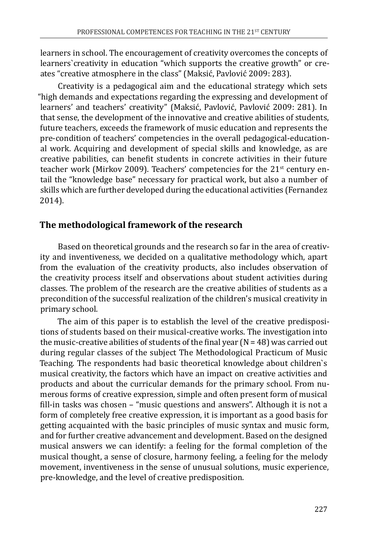learners in school. The encouragement of creativity overcomes the concepts of learners`creativity in education "which supports the creative growth" or creates "creative atmosphere in the class" (Maksić, Pavlović 2009: 283).

Creativity is a pedagogical aim and the educational strategy which sets "high demands and expectations regarding the expressing and development of learners' and teachers' creativity" (Maksić, Pavlović, Pavlović 2009: 281). In that sense, the development of the innovative and creative abilities of students, future teachers, exceeds the framework of music education and represents the pre-condition of teachers' competencies in the overall pedagogical-educational work. Acquiring and development of special skills and knowledge, as are creative pabilities, can benefit students in concrete activities in their future teacher work (Mirkov 2009). Teachers' competencies for the  $21<sup>st</sup>$  century entail the "knowledge base" necessary for practical work, but also a number of skills which are further developed during the educational activities (Fernandez 2014).

## **The methodological framework of the research**

Based on theoretical grounds and the research so far in the area of creativity and inventiveness, we decided on a qualitative methodology which, apart from the evaluation of the creativity products, also includes observation of the creativity process itself and observations about student activities during classes*.* The problem of the research are the creative abilities of students as a precondition of the successful realization of the children's musical creativity in primary school.

The aim of this paper is to establish the level of the creative predispositions of students based on their musical-creative works. The investigation into the music-creative abilities of students of the final year  $(N = 48)$  was carried out during regular classes of the subject The Methodological Practicum of Music Teaching. The respondents had basic theoretical knowledge about children`s musical creativity, the factors which have an impact on creative activities and products and about the curricular demands for the primary school. From numerous forms of creative expression, simple and often present form of musical fill-in tasks was chosen – "music questions and answers". Although it is not a form of completely free creative expression, it is important as a good basis for getting acquainted with the basic principles of music syntax and music form, and for further creative advancement and development. Based on the designed musical answers we can identify: a feeling for the formal completion of the musical thought, a sense of closure, harmony feeling, a feeling for the melody movement, inventiveness in the sense of unusual solutions, music experience, pre-knowledge, and the level of creative predisposition.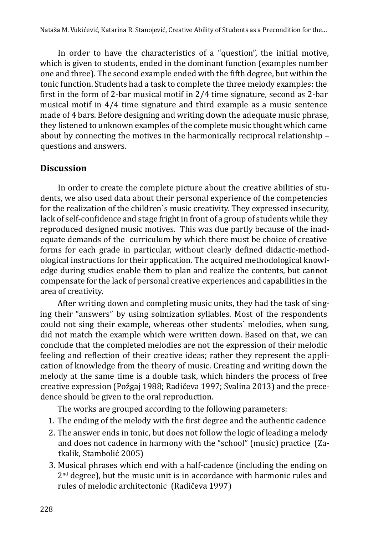In order to have the characteristics of a "question", the initial motive, which is given to students, ended in the dominant function (examples number one and three). The second example ended with the fifth degree, but within the tonic function. Students had a task to complete the three melody examples: the first in the form of 2-bar musical motif in 2/4 time signature, second as 2-bar musical motif in 4/4 time signature and third example as a music sentence made of 4 bars. Before designing and writing down the adequate music phrase, they listened to unknown examples of the complete music thought which came about by connecting the motives in the harmonically reciprocal relationship questions and answers.

## **Discussion**

In order to create the complete picture about the creative abilities of students, we also used data about their personal experience of the competencies for the realization of the children`s music creativity. They expressed insecurity, lack of self-confidence and stage fright in front of a group of students while they reproduced designed music motives. This was due partly because of the inadequate demands of the curriculum by which there must be choice of creative forms for each grade in particular, without clearly defined didactic-methodological instructions for their application. The acquired methodological knowledge during studies enable them to plan and realize the contents, but cannot compensate for the lack of personal creative experiences and capabilities in the area of creativity.

After writing down and completing music units, they had the task of singing their "answers" by using solmization syllables. Most of the respondents could not sing their example, whereas other students` melodies, when sung, did not match the example which were written down. Based on that, we can conclude that the completed melodies are not the expression of their melodic feeling and reflection of their creative ideas; rather they represent the application of knowledge from the theory of music. Creating and writing down the melody at the same time is a double task, which hinders the process of free creative expression (Požgaj 1988; Radičeva 1997; Svalina 2013) and the precedence should be given to the oral reproduction.

The works are grouped according to the following parameters:

- 1. The ending of the melody with the first degree and the authentic cadence
- 2. The answer ends in tonic, but does not follow the logic of leading a melody and does not cadence in harmony with the "school" (music) practice (Zatkalik, Stambolić 2005)
- 3. Musical phrases which end with a half-cadence (including the ending on  $2<sup>nd</sup>$  degree), but the music unit is in accordance with harmonic rules and rules of melodic architectonic (Radičeva 1997)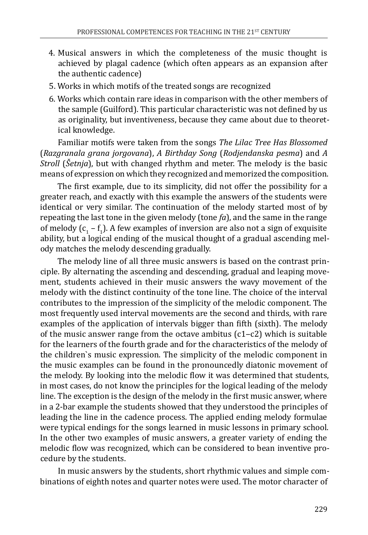- 4. Musical answers in which the completeness of the music thought is achieved by plagal cadence (which often appears as an expansion after the authentic cadence)
- 5. Works in which motifs of the treated songs are recognized
- 6. Works which contain rare ideas in comparison with the other members of the sample (Guilford). This particular characteristic was not defined by us as originality, but inventiveness, because they came about due to theoretical knowledge.

Familiar motifs were taken from the songs *The Lilac Tree Has Blossomed*  (*Razgranala grana jorgovana*), *A Birthday Song* (*Rodjendanska pesma*) and *A Stroll* (*Šetnja*), but with changed rhythm and meter. The melody is the basic means of expression on which they recognized and memorized the composition.

The first example, due to its simplicity, did not offer the possibility for a greater reach, and exactly with this example the answers of the students were identical or very similar. The continuation of the melody started most of by repeating the last tone in the given melody (tone *fa*), and the same in the range of melody  $(c_1 - t_1)$ . A few examples of inversion are also not a sign of exquisite ability, but a logical ending of the musical thought of a gradual ascending melody matches the melody descending gradually.

The melody line of all three music answers is based on the contrast principle. By alternating the ascending and descending, gradual and leaping movement, students achieved in their music answers the wavy movement of the melody with the distinct continuity of the tone line. The choice of the interval contributes to the impression of the simplicity of the melodic component. The most frequently used interval movements are the second and thirds, with rare examples of the application of intervals bigger than fifth (sixth). The melody of the music answer range from the octave ambitus  $(c1-c2)$  which is suitable for the learners of the fourth grade and for the characteristics of the melody of the children`s music expression. The simplicity of the melodic component in the music examples can be found in the pronouncedly diatonic movement of the melody. By looking into the melodic flow it was determined that students, in most cases, do not know the principles for the logical leading of the melody line. The exception is the design of the melody in the first music answer, where in a 2-bar example the students showed that they understood the principles of leading the line in the cadence process. The applied ending melody formulae were typical endings for the songs learned in music lessons in primary school. In the other two examples of music answers, a greater variety of ending the melodic flow was recognized, which can be considered to bean inventive procedure by the students.

In music answers by the students, short rhythmic values and simple combinations of eighth notes and quarter notes were used. The motor character of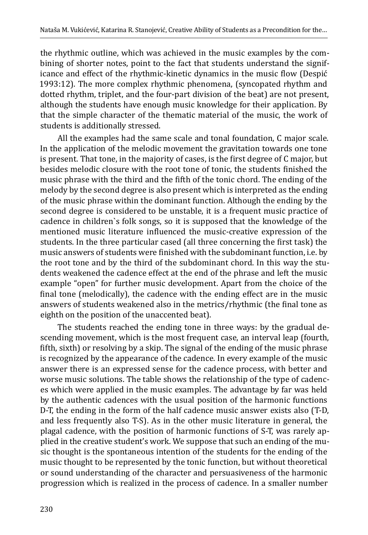the rhythmic outline, which was achieved in the music examples by the combining of shorter notes, point to the fact that students understand the significance and effect of the rhythmic-kinetic dynamics in the music flow (Despić 1993:12). The more complex rhythmic phenomena, (syncopated rhythm and dotted rhythm, triplet, and the four-part division of the beat) are not present, although the students have enough music knowledge for their application. By that the simple character of the thematic material of the music, the work of students is additionally stressed.

All the examples had the same scale and tonal foundation, C major scale. In the application of the melodic movement the gravitation towards one tone is present. That tone, in the majority of cases, is the first degree of C major, but besides melodic closure with the root tone of tonic, the students finished the music phrase with the third and the fifth of the tonic chord. The ending of the melody by the second degree is also present which is interpreted as the ending of the music phrase within the dominant function. Although the ending by the second degree is considered to be unstable, it is a frequent music practice of cadence in children`s folk songs, so it is supposed that the knowledge of the mentioned music literature influenced the music-creative expression of the students. In the three particular cased (all three concerning the first task) the music answers of students were finished with the subdominant function, i.e. by the root tone and by the third of the subdominant chord. In this way the students weakened the cadence effect at the end of the phrase and left the music example "open" for further music development. Apart from the choice of the final tone (melodically), the cadence with the ending effect are in the music answers of students weakened also in the metrics/rhythmic (the final tone as eighth on the position of the unaccented beat).

The students reached the ending tone in three ways: by the gradual descending movement, which is the most frequent case, an interval leap (fourth, fifth, sixth) or resolving by a skip. The signal of the ending of the music phrase is recognized by the appearance of the cadence. In every example of the music answer there is an expressed sense for the cadence process, with better and worse music solutions. The table shows the relationship of the type of cadences which were applied in the music examples. The advantage by far was held by the authentic cadences with the usual position of the harmonic functions D-T, the ending in the form of the half cadence music answer exists also (Т-D, and less frequently also Т-S). As in the other music literature in general, the plagal cadence, with the position of harmonic functions of S-Т, was rarely applied in the creative student's work. We suppose that such an ending of the music thought is the spontaneous intention of the students for the ending of the music thought to be represented by the tonic function, but without theoretical or sound understanding of the character and persuasiveness of the harmonic progression which is realized in the process of cadence. In a smaller number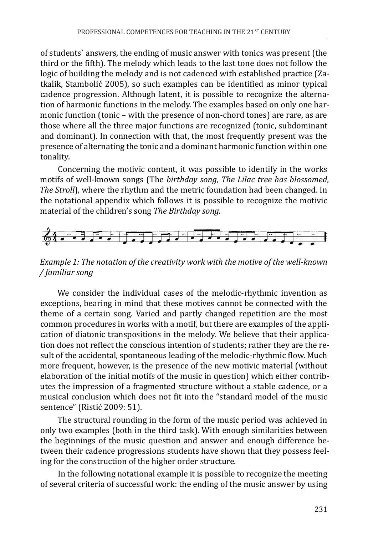of students` answers, the ending of music answer with tonics was present (the third or the fifth). The melody which leads to the last tone does not follow the logic of building the melody and is not cadenced with established practice (Zatkalik, Stambolić 2005), so such examples can be identified as minor typical cadence progression. Although latent, it is possible to recognize the alternation of harmonic functions in the melody. The examples based on only one harmonic function (tonic – with the presence of non-chord tones) are rare, as are those where all the three major functions are recognized (tonic, subdominant and dominant). In connection with that, the most frequently present was the presence of alternating the tonic and a dominant harmonic function within one tonality.

Concerning the motivic content, it was possible to identify in the works motifs of well-known songs (The *birthday song*, *The Lilac tree has blossomed*, *The Stroll*), where the rhythm and the metric foundation had been changed. In the notational appendix which follows it is possible to recognize the motivic material of the children's song *The Birthday song.* 



*Example 1: The notation of the creativity work with the motive of the well-known / familiar song* 

We consider the individual cases of the melodic-rhythmic invention as exceptions, bearing in mind that these motives cannot be connected with the theme of a certain song. Varied and partly changed repetition are the most common procedures in works with a motif, but there are examples of the application of diatonic transpositions in the melody. We believe that their application does not reflect the conscious intention of students; rather they are the result of the accidental, spontaneous leading of the melodic-rhythmic flow. Much more frequent, however, is the presence of the new motivic material (without elaboration of the initial motifs of the music in question) which either contributes the impression of a fragmented structure without a stable cadence, or a musical conclusion which does not fit into the "standard model of the music sentence" (Ristić 2009: 51).

The structural rounding in the form of the music period was achieved in only two examples (both in the third task). With enough similarities between the beginnings of the music question and answer and enough difference between their cadence progressions students have shown that they possess feeling for the construction of the higher order structure.

In the following notational example it is possible to recognize the meeting of several criteria of successful work: the ending of the music answer by using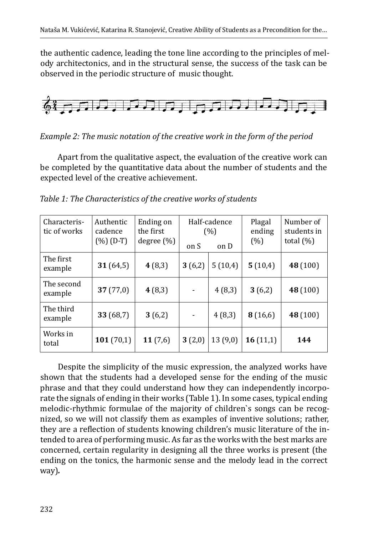the authentic cadence, leading the tone line according to the principles of melody architectonics, and in the structural sense, the success of the task can be observed in the periodic structure of music thought.



*Example 2: The music notation of the creative work in the form of the period*

Apart from the qualitative aspect, the evaluation of the creative work can be completed by the quantitative data about the number of students and the expected level of the creative achievement.

| Characteris-<br>tic of works | Authentic<br>cadence<br>$(\%) (D-T)$ | Ending on<br>the first<br>degree $(\%)$ | Half-cadence<br>(%)<br>on S<br>on D |         | Plagal<br>ending<br>(%) | Number of<br>students in<br>total $(\%)$ |
|------------------------------|--------------------------------------|-----------------------------------------|-------------------------------------|---------|-------------------------|------------------------------------------|
| The first<br>example         | 31(64,5)                             | 4(8,3)                                  | 3(6,2)                              | 5(10,4) | 5(10,4)                 | 48 (100)                                 |
| The second<br>example        | 37(77,0)                             | 4(8,3)                                  | $\overline{\phantom{a}}$            | 4(8,3)  | 3(6,2)                  | 48 (100)                                 |
| The third<br>example         | 33 (68,7)                            | 3(6,2)                                  | $\qquad \qquad \blacksquare$        | 4(8,3)  | 8(16,6)                 | 48 (100)                                 |
| Works in<br>total            | 101(70,1)                            | 11(7,6)                                 | 3(2,0)                              | 13(9,0) | 16(11,1)                | 144                                      |

*Table 1: The Characteristics of the creative works of students*

Despite the simplicity of the music expression, the analyzed works have shown that the students had a developed sense for the ending of the music phrase and that they could understand how they can independently incorporate the signals of ending in their works (Table 1). In some cases, typical ending melodic-rhythmic formulae of the majority of children`s songs can be recognized, so we will not classify them as examples of inventive solutions; rather, they are a reflection of students knowing children's music literature of the intended to area of performing music. As far as the works with the best marks are concerned, certain regularity in designing all the three works is present (the ending on the tonics, the harmonic sense and the melody lead in the correct way)*.*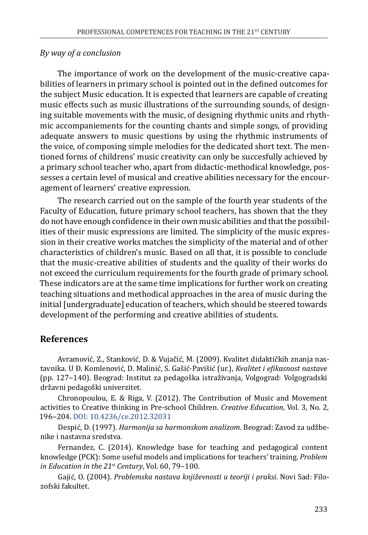#### *By way of a conclusion*

The importance of work on the development of the music-creative capabilities of learners in primary school is pointed out in the defined outcomes for the subject Music education. It is expected that learners are capable of creating music effects such as music illustrations of the surrounding sounds, of designing suitable movements with the music, of designing rhythmic units and rhythmic accompaniements for the counting chants and simple songs, of providing adequate answers to music questions by using the rhythmic instruments of the voice, of composing simple melodies for the dedicated short text. The mentioned forms of childrens' music creativity can only be succesfully achieved by a primary school teacher who, apart from didactic-methodical knowledge, possesses a certain level of musical and creative abilities necessary for the encouragement of learners' creative expression.

The research carried out on the sample of the fourth year students of the Faculty of Education, future primary school teachers, has shown that the they do not have enough confidence in their own music abilities and that the possibilities of their music expressions are limited. The simplicity of the music expression in their creative works matches the simplicity of the material and of other characteristics of children's music. Based on all that, it is possible to conclude that the music-creative abilities of students and the quality of their works do not exceed the curriculum requirements for the fourth grade of primary school. These indicators are at the same time implications for further work on creating teaching situations and methodical approaches in the area of music during the initial [undergraduate] education of teachers, which should be steered towards development of the performing and creative abilities of students.

## **References**

Avramović, Z., Stanković, D. & Vujačić, M. (2009). Kvalitet didaktičkih znanja nastavnika. U Đ. Komlenović, D. Malinić, S. Gašić-Pavišić (ur.), *Kvalitet i efikasnost nastave* (pp. 127‒140). Beograd: Institut za pedagoška istraživanja, Volgograd: Volgogradski državni pedagoški univerzitet.

Chronopoulou, E. & Riga, V. (2012). The Contribution of Music and Movement activities to Creative thinking in Pre-school Children. *Creative Education*, Vol. 3, No. 2, 196‒204. [DOI: 10.4236/ce.2012.32031](http://DOI:%2010.4236/ce.2012.32031)

Despić, D. (1997). *Harmonija sa harmonskom analizom*. Beograd: Zavod za udžbenike i nastavna sredstva.

Fernandez, C. (2014). Knowledge base for teaching and pedagogical content knowledge (PCK): Some useful models and implications for teachers' training. *Problem*  in Education in the 21<sup>st</sup> Century, Vol. 60, 79-100.

Gajić, O. (2004). *Problemska nastava književnosti u teoriji i praksi*. Novi Sad: Filozofski fakultet.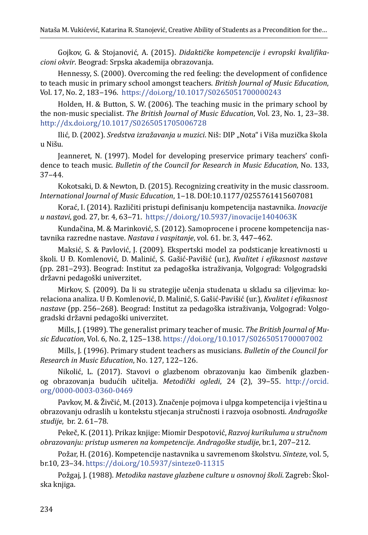Gojkov, G. & Stojanović, A. (2015). *Didaktičke kompetencije i evropski kvalifikacioni okvir*. Beograd: Srpska akademija obrazovanja.

Hennessy, S. (2000). Overcoming the red feeling: the development of confidence to teach music in primary school amongst teachers. *British Journal of Music Education*, Vol. 17, No. 2, 183‒196. <https://doi.org/10.1017/S0265051700000243>

Holden, H. & Button, S. W. (2006). The teaching music in the primary school by the non-music specialist. *The British Journal of Music Education*, Vol. 23, No. 1, 23–38. <http://dx.doi.org/10.1017/S0265051705006728>

Ilić, D. (2002). *Sredstva izražavanja u muzici*. Niš: DIP "Nota" i Viša muzička škola u Nišu.

Jeanneret, N. (1997). Model for developing preservice primary teachers' confidence to teach music. *Bulletin of the Council for Research in Music Education*, No. 133,  $37 - 44.$ 

Kokotsaki, D. & Newton, D. (2015). Recognizing creativity in the music classroom. *International Journal of Music Education*, 1‒18. DOI:10.1177/0255761415607081

Korać, I. (2014). Različiti pristupi definisanju kompetencija nastavnika. *Inovacije u nastavi*, god. 27, br. 4, 63‒71. <https://doi.org/10.5937/inovacije1404063K>

Kundačina, M. & Marinković, S. (2012). Samoprocene i procene kompetencija nastavnika razredne nastave. *Nastava i vaspitanje*, vol. 61. br. 3, 447-462.

Maksić, S. & Pavlović, J. (2009). Ekspertski model za podsticanje kreativnosti u školi. U Đ. Komlenović, D. Malinić, S. Gašić-Pavišić (ur.), *Kvalitet i efikasnost nastave* (pp. 281‒293). Beograd: Institut za pedagoška istraživanja, Volgograd: Volgogradski državni pedagoški univerzitet.

Мirkov, S. (2009). Da li su strategije učenja studenata u skladu sa ciljevima: korelaciona analiza. U Đ. Komlenović, D. Malinić, S. Gašić-Pavišić (ur.), *Kvalitet i efikasnost nastave* (pp. 256‒268). Beograd: Institut za pedagoška istraživanja, Volgograd: Volgogradski državni pedagoški univerzitet.

Mills, J. (1989). The generalist primary teacher of music. *The British Journal of Music Education*, Vol. 6, No. 2, 125‒138. <https://doi.org/10.1017/S0265051700007002>

Mills, J. (1996). Primary student teachers as musicians. *Bulletin of the Council for Research in Music Education*, No. 127, 122‒126.

Nikolić, L. (2017). Stavovi o glazbenom obrazovanju kao čimbenik glazbenog obrazovanja budućih učitelja. *Metodički ogledi*, 24 (2), 39‒55. [http://orcid.](http://orcid.org/0000-0003-0360-0469) [org/0000-0003-0360-0469](http://orcid.org/0000-0003-0360-0469)

Pavkov, M. & Živčić, M. (2013). Značenje pojmova i ulpga kompetencija i vještina u obrazovanju odraslih u kontekstu stjecanja stručnosti i razvoja osobnosti. *Andragoške studije*, br. 2. 61‒78.

Pekeč, K. (2011). Prikaz knjige: Miomir Despotović, *Razvoj kurikuluma u stručnom obrazovanju: pristup usmeren na kompetencije*. *Andragoške studije*, br.1, 207‒212.

Požar, H. (2016). Kompetencije nastavnika u savremenom školstvu. *Sinteze*, vоl. 5, br.10, 23‒34.<https://doi.org/10.5937/sinteze0-11315>

Požgaj, J. (1988). *Metodika nastave glazbene culture u osnovnoj školi*. Zagreb: Školska knjiga.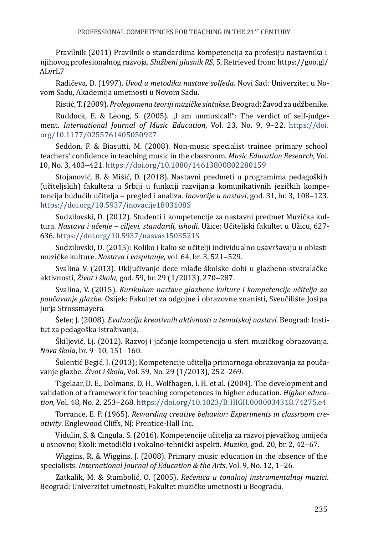Pravilnik (2011) Pravilnik o standardima kompetencija za profesiju nastavnika i njihovog profesionalnog razvoja. *Službeni glasnik RS*, 5, Retrieved from: [https://goo.gl/](https://goo.gl/ALvrL7) [ALvrL7](https://goo.gl/ALvrL7)

Radičeva, D. (1997). *Uvod u metodiku nastave solfeđa*. Novi Sad: Univerzitet u Novom Sadu, Akademija umetnosti u Novom Sadu.

Ristić, T. (2009). *Prolegomena teoriji muzičke sintakse*. Beograd: Zavod za udžbenike.

Ruddock, E. & Leong, S. (2005). "I am unmusical!": The verdict of self-judgement. *International Journal of Music Education*, Vol. 23, No. 9, 9‒22. [https://doi.](https://doi.org/10.1177/0255761405050927) [org/10.1177/0255761405050927](https://doi.org/10.1177/0255761405050927)

Seddon, F. & Biasutti, M. (2008). Non-music specialist trainee primary school teachers' confidence in teaching music in the classroom. *Music Education Research*, Vol. 10, No. 3, 403‒421. <https://doi.org/10.1080/14613800802280159>

Stojanović, B. & Mišić, D. (2018). Nastavni predmeti u programima pedagoških (učiteljskih) fakulteta u Srbiji u funkciji razvijanja komunikativnih jezičkih kompetencija budućih učitelja – pregled i analiza. *Inovacije u nastavi*, god. 31, br. 3, 108‒123. <https://doi.org/10.5937/inovacije1803108S>

Sudzilovski, D. (2012). Studenti i kompetencije za nastavni predmet Muzička kultura. *Nastava i učenje* – *ciljevi, standardi, ishodi*. Užice: Učiteljski fakultet u Užicu, 627- 636. <https://doi.org/10.5937/nasvas1503521S>

Sudzilovski, D. (2015): Koliko i kako se učitelji individualno usavršavaju u oblasti muzičke kulture. *Nastava i vaspitanje*, vol. 64, br. 3, 521‒529.

Svalina V. (2013). Uključivanje dece mlađe školske dobi u glazbeno-stvaralačke aktivnosti, *Život i škola*, god. 59, br. 29 (1/2013), 270‒287.

Svalina, V. (2015). *Kurikulum nastave glazbene kulture i kompetencije učitelja za poučavanje glazbe.* Osijek: Fakultet za odgojne i obrazovne znanisti, Sveučilište Josipa Jurja Strossmayera.

Šefer, J. (2008). *Evaluacija kreativnih aktivnosti u tematskoj nastavi.* Beograd: Institut za pedagoška istraživanja.

Škiljević, Lj. (2012). Razvoj i jačanje kompetencija u sferi muzičkog obrazovanja. *Nova škola*, br. 9‒10, 151‒160.

Šulentić Begić, J. (2013); Kompetencije učitelja primarnoga obrazovanja za poučavanje glazbe. *Život i škola*, Vol. 59, No. 29 (1/2013), 252‒269.

Tigelaar, D. E., Dolmans, D. H., Wolfhagen, I. H. et al. (2004). The development and validation of a framework for teaching competences in higher education. *Higher education*, Vol. 48, No. 2, 253‒268.<https://doi.org/10.1023/B:HIGH.0000034318.74275.e4>

Torrance, E. P. (1965). *Rewarding creative behavior: Experiments in classroom creativity*. Englewood Cliffs, NJ: Prentice-Hall Inc.

Vidulin, S. & Cingula, S. (2016). Kompetencije učitelja za razvoj pjevačkog umijeća u osnovnoj školi: metodički i vokalno-tehnički aspekti. *Muzika*, god. 20, br. 2, 42‒67.

Wiggins, R. & Wiggins, J. (2008). Primary music education in the absence of the specialists. *International Journal of Education & the Arts*, Vol. 9, No. 12, 1‒26.

Zatkalik, M. & Stambolić, O. (2005). *Rečenica u tonalnoj instrumentalnoj muzici*. Beograd: Univerzitet umetnosti, Fakultet muzičke umetnosti u Beogradu.